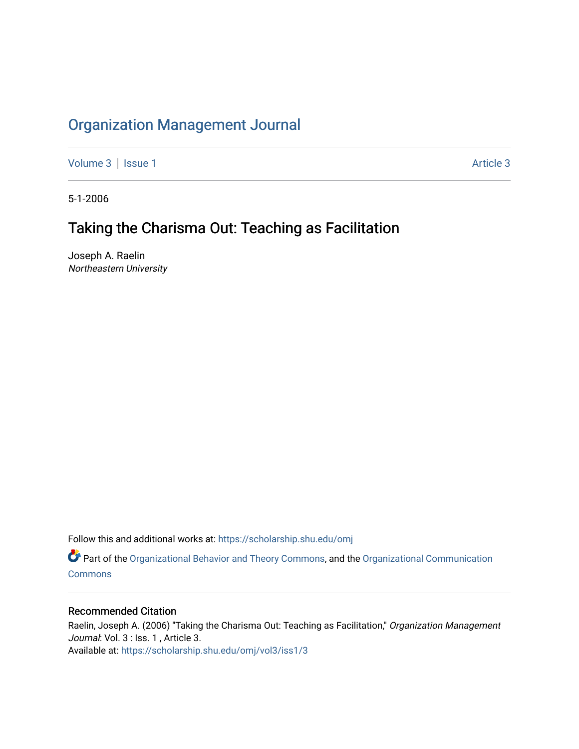# [Organization Management Journal](https://scholarship.shu.edu/omj)

[Volume 3](https://scholarship.shu.edu/omj/vol3) | [Issue 1](https://scholarship.shu.edu/omj/vol3/iss1) Article 3

5-1-2006

# Taking the Charisma Out: Teaching as Facilitation

Joseph A. Raelin Northeastern University

Follow this and additional works at: [https://scholarship.shu.edu/omj](https://scholarship.shu.edu/omj?utm_source=scholarship.shu.edu%2Fomj%2Fvol3%2Fiss1%2F3&utm_medium=PDF&utm_campaign=PDFCoverPages) 

Part of the [Organizational Behavior and Theory Commons,](http://network.bepress.com/hgg/discipline/639?utm_source=scholarship.shu.edu%2Fomj%2Fvol3%2Fiss1%2F3&utm_medium=PDF&utm_campaign=PDFCoverPages) and the [Organizational Communication](http://network.bepress.com/hgg/discipline/335?utm_source=scholarship.shu.edu%2Fomj%2Fvol3%2Fiss1%2F3&utm_medium=PDF&utm_campaign=PDFCoverPages) **[Commons](http://network.bepress.com/hgg/discipline/335?utm_source=scholarship.shu.edu%2Fomj%2Fvol3%2Fiss1%2F3&utm_medium=PDF&utm_campaign=PDFCoverPages)** 

#### Recommended Citation

Raelin, Joseph A. (2006) "Taking the Charisma Out: Teaching as Facilitation," Organization Management Journal: Vol. 3 : Iss. 1, Article 3. Available at: [https://scholarship.shu.edu/omj/vol3/iss1/3](https://scholarship.shu.edu/omj/vol3/iss1/3?utm_source=scholarship.shu.edu%2Fomj%2Fvol3%2Fiss1%2F3&utm_medium=PDF&utm_campaign=PDFCoverPages)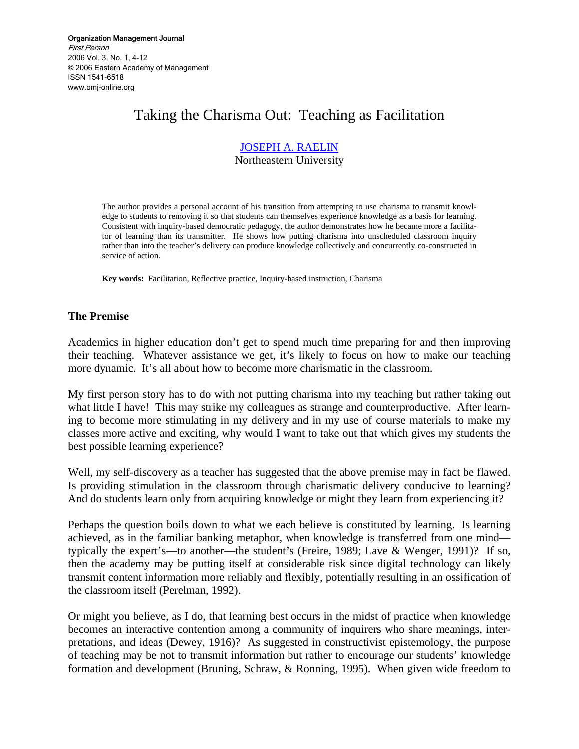Organization Management Journal First Person 2006 Vol. 3, No. 1, 4-12 © 2006 Eastern Academy of Management ISSN 1541-6518 www.omj-online.org

# Taking the Charisma Out: Teaching as Facilitation

# [JOSEPH A. RAELIN](mailto:j.raelin@neu.edu)

Northeastern University

The author provides a personal account of his transition from attempting to use charisma to transmit knowledge to students to removing it so that students can themselves experience knowledge as a basis for learning. Consistent with inquiry-based democratic pedagogy, the author demonstrates how he became more a facilitator of learning than its transmitter. He shows how putting charisma into unscheduled classroom inquiry rather than into the teacher's delivery can produce knowledge collectively and concurrently co-constructed in service of action.

**Key words:** Facilitation, Reflective practice, Inquiry-based instruction, Charisma

#### **The Premise**

Academics in higher education don't get to spend much time preparing for and then improving their teaching. Whatever assistance we get, it's likely to focus on how to make our teaching more dynamic. It's all about how to become more charismatic in the classroom.

My first person story has to do with not putting charisma into my teaching but rather taking out what little I have! This may strike my colleagues as strange and counterproductive. After learning to become more stimulating in my delivery and in my use of course materials to make my classes more active and exciting, why would I want to take out that which gives my students the best possible learning experience?

Well, my self-discovery as a teacher has suggested that the above premise may in fact be flawed. Is providing stimulation in the classroom through charismatic delivery conducive to learning? And do students learn only from acquiring knowledge or might they learn from experiencing it?

Perhaps the question boils down to what we each believe is constituted by learning. Is learning achieved, as in the familiar banking metaphor, when knowledge is transferred from one mind typically the expert's—to another—the student's (Freire, 1989; Lave & Wenger, 1991)? If so, then the academy may be putting itself at considerable risk since digital technology can likely transmit content information more reliably and flexibly, potentially resulting in an ossification of the classroom itself (Perelman, 1992).

Or might you believe, as I do, that learning best occurs in the midst of practice when knowledge becomes an interactive contention among a community of inquirers who share meanings, interpretations, and ideas (Dewey, 1916)? As suggested in constructivist epistemology, the purpose of teaching may be not to transmit information but rather to encourage our students' knowledge formation and development (Bruning, Schraw, & Ronning, 1995). When given wide freedom to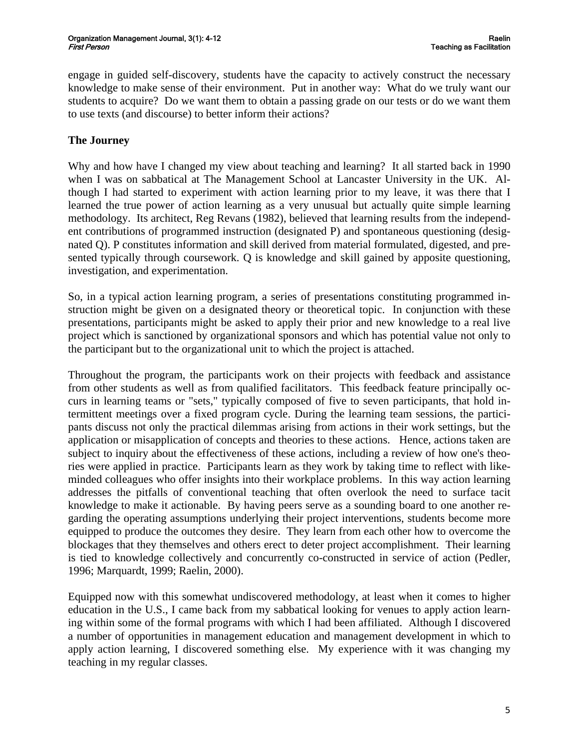engage in guided self-discovery, students have the capacity to actively construct the necessary knowledge to make sense of their environment. Put in another way: What do we truly want our students to acquire? Do we want them to obtain a passing grade on our tests or do we want them to use texts (and discourse) to better inform their actions?

### **The Journey**

Why and how have I changed my view about teaching and learning? It all started back in 1990 when I was on sabbatical at The Management School at Lancaster University in the UK. Although I had started to experiment with action learning prior to my leave, it was there that I learned the true power of action learning as a very unusual but actually quite simple learning methodology. Its architect, Reg Revans (1982), believed that learning results from the independent contributions of programmed instruction (designated P) and spontaneous questioning (designated Q). P constitutes information and skill derived from material formulated, digested, and presented typically through coursework. Q is knowledge and skill gained by apposite questioning, investigation, and experimentation.

So, in a typical action learning program, a series of presentations constituting programmed instruction might be given on a designated theory or theoretical topic. In conjunction with these presentations, participants might be asked to apply their prior and new knowledge to a real live project which is sanctioned by organizational sponsors and which has potential value not only to the participant but to the organizational unit to which the project is attached.

Throughout the program, the participants work on their projects with feedback and assistance from other students as well as from qualified facilitators. This feedback feature principally occurs in learning teams or "sets," typically composed of five to seven participants, that hold intermittent meetings over a fixed program cycle. During the learning team sessions, the participants discuss not only the practical dilemmas arising from actions in their work settings, but the application or misapplication of concepts and theories to these actions. Hence, actions taken are subject to inquiry about the effectiveness of these actions, including a review of how one's theories were applied in practice. Participants learn as they work by taking time to reflect with likeminded colleagues who offer insights into their workplace problems. In this way action learning addresses the pitfalls of conventional teaching that often overlook the need to surface tacit knowledge to make it actionable. By having peers serve as a sounding board to one another regarding the operating assumptions underlying their project interventions, students become more equipped to produce the outcomes they desire. They learn from each other how to overcome the blockages that they themselves and others erect to deter project accomplishment. Their learning is tied to knowledge collectively and concurrently co-constructed in service of action (Pedler, 1996; Marquardt, 1999; Raelin, 2000).

Equipped now with this somewhat undiscovered methodology, at least when it comes to higher education in the U.S., I came back from my sabbatical looking for venues to apply action learning within some of the formal programs with which I had been affiliated. Although I discovered a number of opportunities in management education and management development in which to apply action learning, I discovered something else. My experience with it was changing my teaching in my regular classes.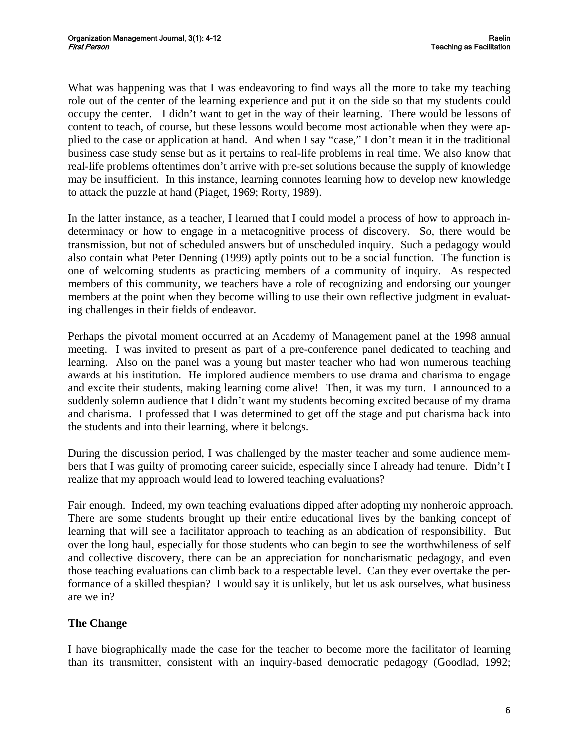What was happening was that I was endeavoring to find ways all the more to take my teaching role out of the center of the learning experience and put it on the side so that my students could occupy the center. I didn't want to get in the way of their learning. There would be lessons of content to teach, of course, but these lessons would become most actionable when they were applied to the case or application at hand. And when I say "case," I don't mean it in the traditional business case study sense but as it pertains to real-life problems in real time. We also know that real-life problems oftentimes don't arrive with pre-set solutions because the supply of knowledge may be insufficient. In this instance, learning connotes learning how to develop new knowledge to attack the puzzle at hand (Piaget, 1969; Rorty, 1989).

In the latter instance, as a teacher, I learned that I could model a process of how to approach indeterminacy or how to engage in a metacognitive process of discovery. So, there would be transmission, but not of scheduled answers but of unscheduled inquiry. Such a pedagogy would also contain what Peter Denning (1999) aptly points out to be a social function. The function is one of welcoming students as practicing members of a community of inquiry. As respected members of this community, we teachers have a role of recognizing and endorsing our younger members at the point when they become willing to use their own reflective judgment in evaluating challenges in their fields of endeavor.

Perhaps the pivotal moment occurred at an Academy of Management panel at the 1998 annual meeting. I was invited to present as part of a pre-conference panel dedicated to teaching and learning. Also on the panel was a young but master teacher who had won numerous teaching awards at his institution. He implored audience members to use drama and charisma to engage and excite their students, making learning come alive! Then, it was my turn. I announced to a suddenly solemn audience that I didn't want my students becoming excited because of my drama and charisma. I professed that I was determined to get off the stage and put charisma back into the students and into their learning, where it belongs.

During the discussion period, I was challenged by the master teacher and some audience members that I was guilty of promoting career suicide, especially since I already had tenure. Didn't I realize that my approach would lead to lowered teaching evaluations?

Fair enough. Indeed, my own teaching evaluations dipped after adopting my nonheroic approach. There are some students brought up their entire educational lives by the banking concept of learning that will see a facilitator approach to teaching as an abdication of responsibility. But over the long haul, especially for those students who can begin to see the worthwhileness of self and collective discovery, there can be an appreciation for noncharismatic pedagogy, and even those teaching evaluations can climb back to a respectable level. Can they ever overtake the performance of a skilled thespian? I would say it is unlikely, but let us ask ourselves, what business are we in?

## **The Change**

I have biographically made the case for the teacher to become more the facilitator of learning than its transmitter, consistent with an inquiry-based democratic pedagogy (Goodlad, 1992;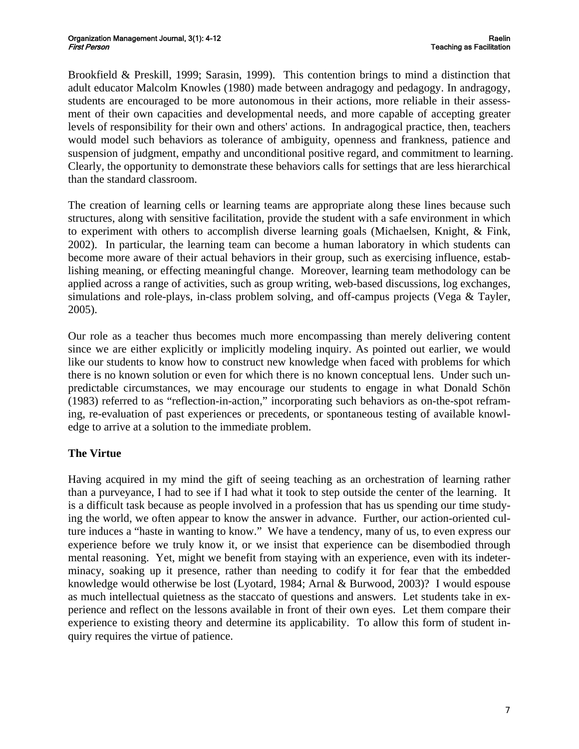Brookfield & Preskill, 1999; Sarasin, 1999). This contention brings to mind a distinction that adult educator Malcolm Knowles (1980) made between andragogy and pedagogy. In andragogy, students are encouraged to be more autonomous in their actions, more reliable in their assessment of their own capacities and developmental needs, and more capable of accepting greater levels of responsibility for their own and others' actions. In andragogical practice, then, teachers would model such behaviors as tolerance of ambiguity, openness and frankness, patience and suspension of judgment, empathy and unconditional positive regard, and commitment to learning. Clearly, the opportunity to demonstrate these behaviors calls for settings that are less hierarchical than the standard classroom.

The creation of learning cells or learning teams are appropriate along these lines because such structures, along with sensitive facilitation, provide the student with a safe environment in which to experiment with others to accomplish diverse learning goals (Michaelsen, Knight, & Fink, 2002). In particular, the learning team can become a human laboratory in which students can become more aware of their actual behaviors in their group, such as exercising influence, establishing meaning, or effecting meaningful change. Moreover, learning team methodology can be applied across a range of activities, such as group writing, web-based discussions, log exchanges, simulations and role-plays, in-class problem solving, and off-campus projects (Vega & Tayler, 2005).

Our role as a teacher thus becomes much more encompassing than merely delivering content since we are either explicitly or implicitly modeling inquiry. As pointed out earlier, we would like our students to know how to construct new knowledge when faced with problems for which there is no known solution or even for which there is no known conceptual lens. Under such unpredictable circumstances, we may encourage our students to engage in what Donald Schön (1983) referred to as "reflection-in-action," incorporating such behaviors as on-the-spot reframing, re-evaluation of past experiences or precedents, or spontaneous testing of available knowledge to arrive at a solution to the immediate problem.

## **The Virtue**

Having acquired in my mind the gift of seeing teaching as an orchestration of learning rather than a purveyance, I had to see if I had what it took to step outside the center of the learning. It is a difficult task because as people involved in a profession that has us spending our time studying the world, we often appear to know the answer in advance. Further, our action-oriented culture induces a "haste in wanting to know." We have a tendency, many of us, to even express our experience before we truly know it, or we insist that experience can be disembodied through mental reasoning. Yet, might we benefit from staying with an experience, even with its indeterminacy, soaking up it presence, rather than needing to codify it for fear that the embedded knowledge would otherwise be lost (Lyotard, 1984; Arnal & Burwood, 2003)? I would espouse as much intellectual quietness as the staccato of questions and answers. Let students take in experience and reflect on the lessons available in front of their own eyes. Let them compare their experience to existing theory and determine its applicability. To allow this form of student inquiry requires the virtue of patience.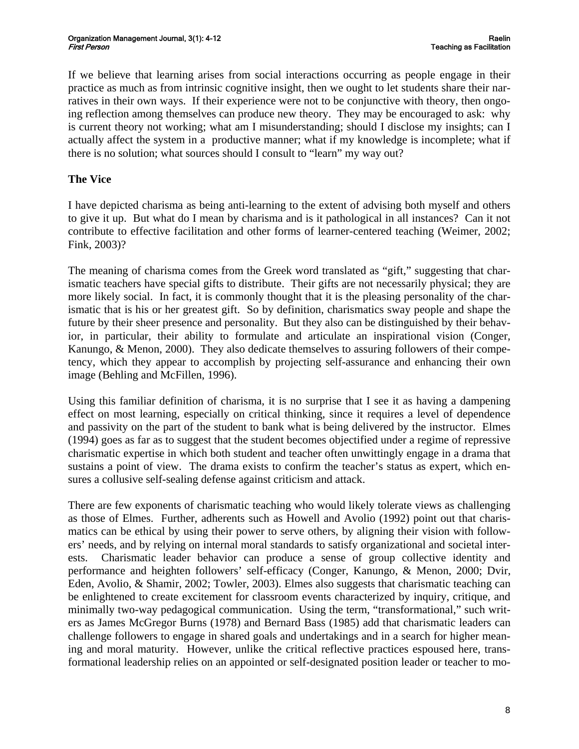If we believe that learning arises from social interactions occurring as people engage in their practice as much as from intrinsic cognitive insight, then we ought to let students share their narratives in their own ways. If their experience were not to be conjunctive with theory, then ongoing reflection among themselves can produce new theory. They may be encouraged to ask: why is current theory not working; what am I misunderstanding; should I disclose my insights; can I actually affect the system in a productive manner; what if my knowledge is incomplete; what if there is no solution; what sources should I consult to "learn" my way out?

### **The Vice**

I have depicted charisma as being anti-learning to the extent of advising both myself and others to give it up. But what do I mean by charisma and is it pathological in all instances? Can it not contribute to effective facilitation and other forms of learner-centered teaching (Weimer, 2002; Fink, 2003)?

The meaning of charisma comes from the Greek word translated as "gift," suggesting that charismatic teachers have special gifts to distribute. Their gifts are not necessarily physical; they are more likely social. In fact, it is commonly thought that it is the pleasing personality of the charismatic that is his or her greatest gift. So by definition, charismatics sway people and shape the future by their sheer presence and personality. But they also can be distinguished by their behavior, in particular, their ability to formulate and articulate an inspirational vision (Conger, Kanungo, & Menon, 2000). They also dedicate themselves to assuring followers of their competency, which they appear to accomplish by projecting self-assurance and enhancing their own image (Behling and McFillen, 1996).

Using this familiar definition of charisma, it is no surprise that I see it as having a dampening effect on most learning, especially on critical thinking, since it requires a level of dependence and passivity on the part of the student to bank what is being delivered by the instructor. Elmes (1994) goes as far as to suggest that the student becomes objectified under a regime of repressive charismatic expertise in which both student and teacher often unwittingly engage in a drama that sustains a point of view. The drama exists to confirm the teacher's status as expert, which ensures a collusive self-sealing defense against criticism and attack.

There are few exponents of charismatic teaching who would likely tolerate views as challenging as those of Elmes. Further, adherents such as Howell and Avolio (1992) point out that charismatics can be ethical by using their power to serve others, by aligning their vision with followers' needs, and by relying on internal moral standards to satisfy organizational and societal interests. Charismatic leader behavior can produce a sense of group collective identity and performance and heighten followers' self-efficacy (Conger, Kanungo, & Menon, 2000; Dvir, Eden, Avolio, & Shamir, 2002; Towler, 2003). Elmes also suggests that charismatic teaching can be enlightened to create excitement for classroom events characterized by inquiry, critique, and minimally two-way pedagogical communication. Using the term, "transformational," such writers as James McGregor Burns (1978) and Bernard Bass (1985) add that charismatic leaders can challenge followers to engage in shared goals and undertakings and in a search for higher meaning and moral maturity. However, unlike the critical reflective practices espoused here, transformational leadership relies on an appointed or self-designated position leader or teacher to mo-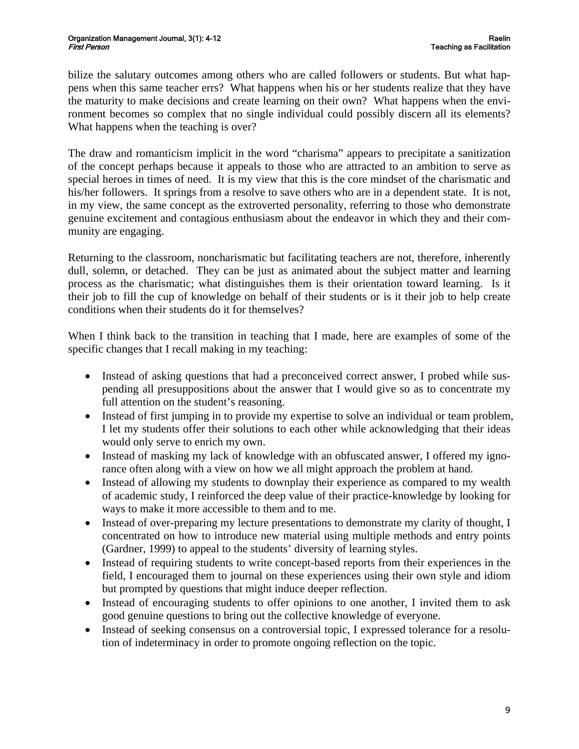#### Organization Management Journal, 3(1): 4-12 **Raelin** Research Control of Control of Text Raelin First Person Teaching as Facilitation Teaching as Facilitation

bilize the salutary outcomes among others who are called followers or students. But what happens when this same teacher errs? What happens when his or her students realize that they have the maturity to make decisions and create learning on their own? What happens when the environment becomes so complex that no single individual could possibly discern all its elements? What happens when the teaching is over?

The draw and romanticism implicit in the word "charisma" appears to precipitate a sanitization of the concept perhaps because it appeals to those who are attracted to an ambition to serve as special heroes in times of need. It is my view that this is the core mindset of the charismatic and his/her followers. It springs from a resolve to save others who are in a dependent state. It is not, in my view, the same concept as the extroverted personality, referring to those who demonstrate genuine excitement and contagious enthusiasm about the endeavor in which they and their community are engaging.

Returning to the classroom, noncharismatic but facilitating teachers are not, therefore, inherently dull, solemn, or detached. They can be just as animated about the subject matter and learning process as the charismatic; what distinguishes them is their orientation toward learning. Is it their job to fill the cup of knowledge on behalf of their students or is it their job to help create conditions when their students do it for themselves?

When I think back to the transition in teaching that I made, here are examples of some of the specific changes that I recall making in my teaching:

- Instead of asking questions that had a preconceived correct answer, I probed while suspending all presuppositions about the answer that I would give so as to concentrate my full attention on the student's reasoning.
- Instead of first jumping in to provide my expertise to solve an individual or team problem, I let my students offer their solutions to each other while acknowledging that their ideas would only serve to enrich my own.
- Instead of masking my lack of knowledge with an obfuscated answer, I offered my ignorance often along with a view on how we all might approach the problem at hand.
- Instead of allowing my students to downplay their experience as compared to my wealth of academic study, I reinforced the deep value of their practice-knowledge by looking for ways to make it more accessible to them and to me.
- Instead of over-preparing my lecture presentations to demonstrate my clarity of thought, I concentrated on how to introduce new material using multiple methods and entry points (Gardner, 1999) to appeal to the students' diversity of learning styles.
- Instead of requiring students to write concept-based reports from their experiences in the field, I encouraged them to journal on these experiences using their own style and idiom but prompted by questions that might induce deeper reflection.
- Instead of encouraging students to offer opinions to one another, I invited them to ask good genuine questions to bring out the collective knowledge of everyone.
- Instead of seeking consensus on a controversial topic, I expressed tolerance for a resolution of indeterminacy in order to promote ongoing reflection on the topic.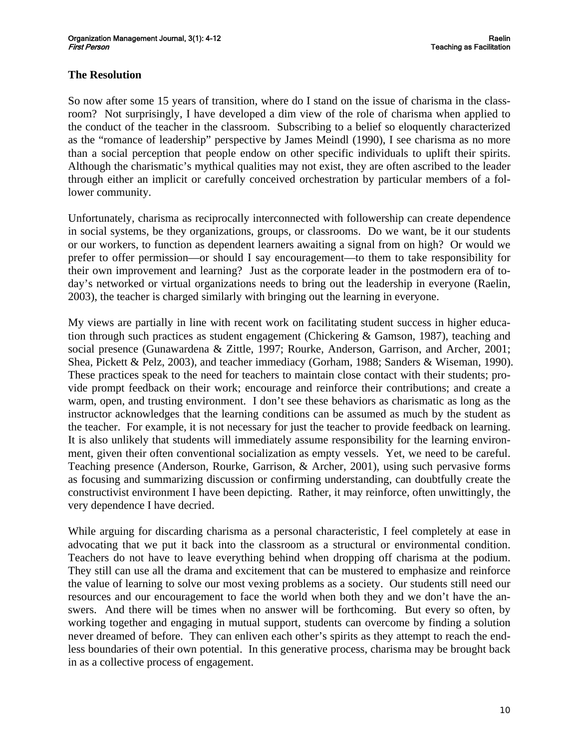### **The Resolution**

So now after some 15 years of transition, where do I stand on the issue of charisma in the classroom? Not surprisingly, I have developed a dim view of the role of charisma when applied to the conduct of the teacher in the classroom. Subscribing to a belief so eloquently characterized as the "romance of leadership" perspective by James Meindl (1990), I see charisma as no more than a social perception that people endow on other specific individuals to uplift their spirits. Although the charismatic's mythical qualities may not exist, they are often ascribed to the leader through either an implicit or carefully conceived orchestration by particular members of a follower community.

Unfortunately, charisma as reciprocally interconnected with followership can create dependence in social systems, be they organizations, groups, or classrooms. Do we want, be it our students or our workers, to function as dependent learners awaiting a signal from on high? Or would we prefer to offer permission—or should I say encouragement—to them to take responsibility for their own improvement and learning? Just as the corporate leader in the postmodern era of today's networked or virtual organizations needs to bring out the leadership in everyone (Raelin, 2003), the teacher is charged similarly with bringing out the learning in everyone.

My views are partially in line with recent work on facilitating student success in higher education through such practices as student engagement (Chickering & Gamson, 1987), teaching and social presence (Gunawardena & Zittle, 1997; Rourke, Anderson, Garrison, and Archer, 2001; Shea, Pickett & Pelz, 2003), and teacher immediacy (Gorham, 1988; Sanders & Wiseman, 1990). These practices speak to the need for teachers to maintain close contact with their students; provide prompt feedback on their work; encourage and reinforce their contributions; and create a warm, open, and trusting environment. I don't see these behaviors as charismatic as long as the instructor acknowledges that the learning conditions can be assumed as much by the student as the teacher. For example, it is not necessary for just the teacher to provide feedback on learning. It is also unlikely that students will immediately assume responsibility for the learning environment, given their often conventional socialization as empty vessels. Yet, we need to be careful. Teaching presence (Anderson, Rourke, Garrison, & Archer, 2001), using such pervasive forms as focusing and summarizing discussion or confirming understanding, can doubtfully create the constructivist environment I have been depicting. Rather, it may reinforce, often unwittingly, the very dependence I have decried.

While arguing for discarding charisma as a personal characteristic, I feel completely at ease in advocating that we put it back into the classroom as a structural or environmental condition. Teachers do not have to leave everything behind when dropping off charisma at the podium. They still can use all the drama and excitement that can be mustered to emphasize and reinforce the value of learning to solve our most vexing problems as a society. Our students still need our resources and our encouragement to face the world when both they and we don't have the answers. And there will be times when no answer will be forthcoming. But every so often, by working together and engaging in mutual support, students can overcome by finding a solution never dreamed of before. They can enliven each other's spirits as they attempt to reach the endless boundaries of their own potential. In this generative process, charisma may be brought back in as a collective process of engagement.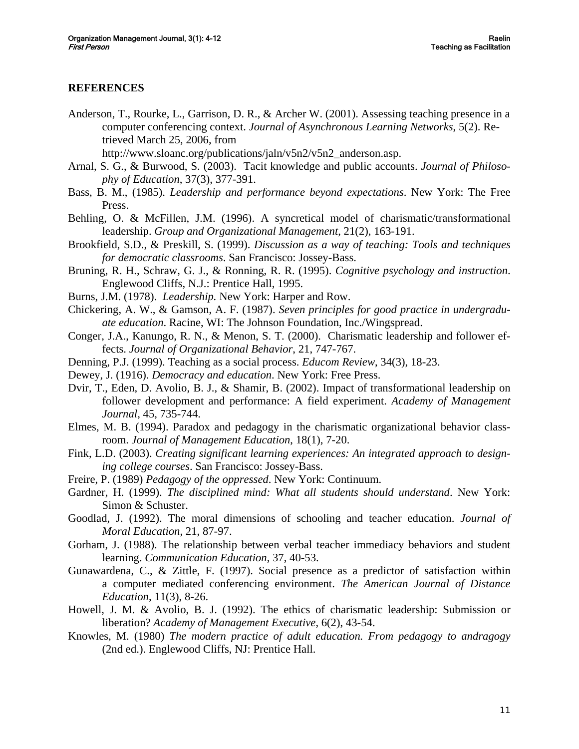#### **REFERENCES**

- Anderson, T., Rourke, L., Garrison, D. R., & Archer W. (2001). Assessing teaching presence in a computer conferencing context. *Journal of Asynchronous Learning Networks*, 5(2). Retrieved March 25, 2006, from http://www.sloanc.org/publications/jaln/v5n2/v5n2\_anderson.asp.
- Arnal, S. G., & Burwood, S. (2003). Tacit knowledge and public accounts. *Journal of Philosophy of Education*, 37(3), 377-391.
- Bass, B. M., (1985). *Leadership and performance beyond expectations*. New York: The Free Press.
- Behling, O. & McFillen, J.M. (1996). A syncretical model of charismatic/transformational leadership. *Group and Organizational Management*, 21(2), 163-191.
- Brookfield, S.D., & Preskill, S. (1999). *Discussion as a way of teaching: Tools and techniques for democratic classrooms*. San Francisco: Jossey-Bass.
- Bruning, R. H., Schraw, G. J., & Ronning, R. R. (1995). *Cognitive psychology and instruction*. Englewood Cliffs, N.J.: Prentice Hall, 1995.
- Burns, J.M. (1978). *Leadership.* New York: Harper and Row.
- Chickering, A. W., & Gamson, A. F. (1987). *Seven principles for good practice in undergraduate education*. Racine, WI: The Johnson Foundation, Inc./Wingspread.
- Conger, J.A., Kanungo, R. N., & Menon, S. T. (2000). Charismatic leadership and follower effects. *Journal of Organizational Behavior*, 21, 747-767.
- Denning, P.J. (1999). Teaching as a social process. *Educom Review*, 34(3), 18-23.
- Dewey, J. (1916). *Democracy and education*. New York: Free Press.
- Dvir, T., Eden, D. Avolio, B. J., & Shamir, B. (2002). Impact of transformational leadership on follower development and performance: A field experiment. *Academy of Management Journal*, 45, 735-744.
- Elmes, M. B. (1994). Paradox and pedagogy in the charismatic organizational behavior classroom. *Journal of Management Education*, 18(1), 7-20.
- Fink, L.D. (2003). *Creating significant learning experiences: An integrated approach to designing college courses*. San Francisco: Jossey-Bass.
- Freire, P. (1989) *Pedagogy of the oppressed*. New York: Continuum.
- Gardner, H. (1999). *The disciplined mind: What all students should understand*. New York: Simon & Schuster.
- Goodlad, J. (1992). The moral dimensions of schooling and teacher education. *Journal of Moral Education*, 21, 87-97.
- Gorham, J. (1988). The relationship between verbal teacher immediacy behaviors and student learning. *Communication Education*, 37, 40-53.
- Gunawardena, C., & Zittle, F. (1997). Social presence as a predictor of satisfaction within a computer mediated conferencing environment. *The American Journal of Distance Education*, 11(3), 8-26.
- Howell, J. M. & Avolio, B. J. (1992). The ethics of charismatic leadership: Submission or liberation? *Academy of Management Executive*, 6(2), 43-54.
- Knowles, M. (1980) *The modern practice of adult education. From pedagogy to andragogy* (2nd ed.). Englewood Cliffs, NJ: Prentice Hall.